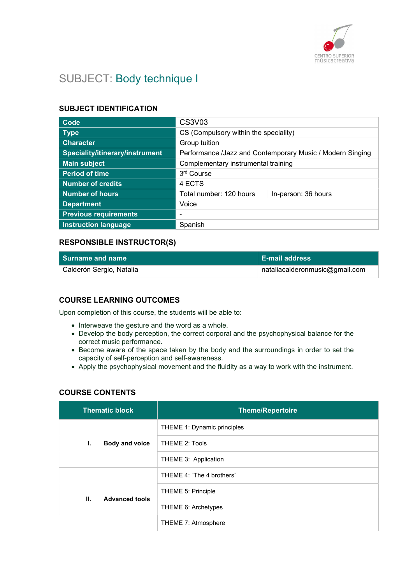

# SUBJECT: Body technique I

## SUBJECT IDENTIFICATION

| Code                            | <b>CS3V03</b>                                             |                     |
|---------------------------------|-----------------------------------------------------------|---------------------|
| <b>Type</b>                     | CS (Compulsory within the speciality)                     |                     |
| <b>Character</b>                | Group tuition                                             |                     |
| Speciality/itinerary/instrument | Performance /Jazz and Contemporary Music / Modern Singing |                     |
| <b>Main subject</b>             | Complementary instrumental training                       |                     |
| <b>Period of time</b>           | 3 <sup>rd</sup> Course                                    |                     |
| <b>Number of credits</b>        | 4 ECTS                                                    |                     |
| <b>Number of hours</b>          | Total number: 120 hours                                   | In-person: 36 hours |
| <b>Department</b>               | Voice                                                     |                     |
| <b>Previous requirements</b>    | ٠                                                         |                     |
| <b>Instruction language</b>     | Spanish                                                   |                     |

## RESPONSIBLE INSTRUCTOR(S)

| <b>Surname and name</b>  | <b>E-mail address</b>                   |
|--------------------------|-----------------------------------------|
| Calderón Sergio, Natalia | $\alpha$ nataliacalderonmusic@gmail.com |

## COURSE LEARNING OUTCOMES

Upon completion of this course, the students will be able to:

- $\bullet$  Interweave the gesture and the word as a whole.
- Develop the body perception, the correct corporal and the psychophysical balance for the correct music performance.
- Become aware of the space taken by the body and the surroundings in order to set the capacity of self-perception and self-awareness.
- Apply the psychophysical movement and the fluidity as a way to work with the instrument.

## COURSE CONTENTS

| <b>Thematic block</b>       |                             | <b>Theme/Repertoire</b> |
|-----------------------------|-----------------------------|-------------------------|
| Body and voice<br>Ι.        | THEME 1: Dynamic principles |                         |
|                             | THEME 2: Tools              |                         |
|                             | THEME 3: Application        |                         |
| Ш.<br><b>Advanced tools</b> | THEME 4: "The 4 brothers"   |                         |
|                             |                             | THEME 5: Principle      |
|                             |                             | THEME 6: Archetypes     |
|                             |                             | THEME 7: Atmosphere     |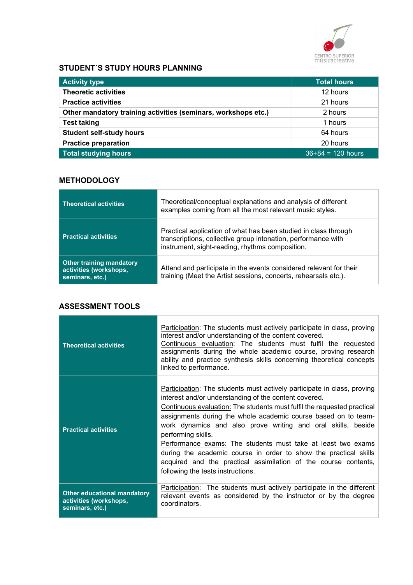

## STUDENT´S STUDY HOURS PLANNING

| <b>Activity type</b>                                           | <b>Total hours</b>  |
|----------------------------------------------------------------|---------------------|
| <b>Theoretic activities</b>                                    | 12 hours            |
| <b>Practice activities</b>                                     | 21 hours            |
| Other mandatory training activities (seminars, workshops etc.) | 2 hours             |
| <b>Test taking</b>                                             | 1 hours             |
| <b>Student self-study hours</b>                                | 64 hours            |
| <b>Practice preparation</b>                                    | 20 hours            |
| <b>Total studying hours</b>                                    | $36+84 = 120$ hours |

## **METHODOLOGY**

| <b>Theoretical activities</b>                                                | Theoretical/conceptual explanations and analysis of different<br>examples coming from all the most relevant music styles.                                                           |
|------------------------------------------------------------------------------|-------------------------------------------------------------------------------------------------------------------------------------------------------------------------------------|
| <b>Practical activities</b>                                                  | Practical application of what has been studied in class through<br>transcriptions, collective group intonation, performance with<br>instrument, sight-reading, rhythms composition. |
| <b>Other training mandatory</b><br>activities (workshops,<br>seminars, etc.) | Attend and participate in the events considered relevant for their<br>training (Meet the Artist sessions, concerts, rehearsals etc.).                                               |

## ASSESSMENT TOOLS

| <b>Theoretical activities</b>                                                   | Participation: The students must actively participate in class, proving<br>interest and/or understanding of the content covered.<br>Continuous evaluation: The students must fulfil the requested<br>assignments during the whole academic course, proving research<br>ability and practice synthesis skills concerning theoretical concepts<br>linked to performance.                                                                                                                                                                                                                                          |
|---------------------------------------------------------------------------------|-----------------------------------------------------------------------------------------------------------------------------------------------------------------------------------------------------------------------------------------------------------------------------------------------------------------------------------------------------------------------------------------------------------------------------------------------------------------------------------------------------------------------------------------------------------------------------------------------------------------|
| <b>Practical activities</b>                                                     | Participation: The students must actively participate in class, proving<br>interest and/or understanding of the content covered.<br>Continuous evaluation: The students must fulfil the requested practical<br>assignments during the whole academic course based on to team-<br>work dynamics and also prove writing and oral skills, beside<br>performing skills.<br>Performance exams: The students must take at least two exams<br>during the academic course in order to show the practical skills<br>acquired and the practical assimilation of the course contents,<br>following the tests instructions. |
| <b>Other educational mandatory</b><br>activities (workshops,<br>seminars, etc.) | <b>Participation:</b> The students must actively participate in the different<br>relevant events as considered by the instructor or by the degree<br>coordinators.                                                                                                                                                                                                                                                                                                                                                                                                                                              |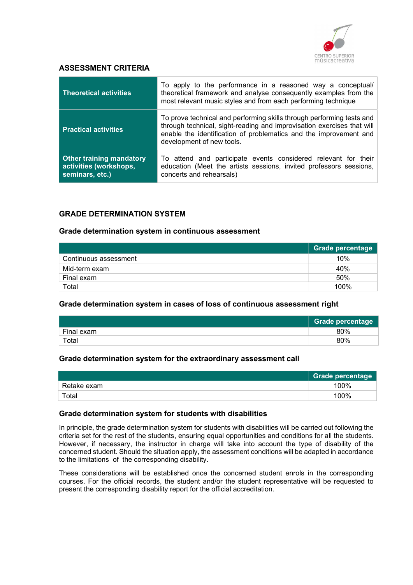

#### ASSESSMENT CRITERIA

| <b>Theoretical activities</b>                                                | To apply to the performance in a reasoned way a conceptual/<br>theoretical framework and analyse consequently examples from the<br>most relevant music styles and from each performing technique                                                  |
|------------------------------------------------------------------------------|---------------------------------------------------------------------------------------------------------------------------------------------------------------------------------------------------------------------------------------------------|
| <b>Practical activities</b>                                                  | To prove technical and performing skills through performing tests and<br>through technical, sight-reading and improvisation exercises that will<br>enable the identification of problematics and the improvement and<br>development of new tools. |
| <b>Other training mandatory</b><br>activities (workshops,<br>seminars, etc.) | To attend and participate events considered relevant for their<br>education (Meet the artists sessions, invited professors sessions,<br>concerts and rehearsals)                                                                                  |

## GRADE DETERMINATION SYSTEM

#### Grade determination system in continuous assessment

|                       | Grade percentage |
|-----------------------|------------------|
| Continuous assessment | 10%              |
| Mid-term exam         | 40%              |
| Final exam            | 50%              |
| Total                 | 100%             |

#### Grade determination system in cases of loss of continuous assessment right

|            | <b>Grade percentage</b> |
|------------|-------------------------|
| Final exam | 80%                     |
| Total      | 80%                     |

#### Grade determination system for the extraordinary assessment call

|             | Grade percentage |
|-------------|------------------|
| Retake exam | 100%             |
| $\tau$ otal | 100%             |

#### Grade determination system for students with disabilities

In principle, the grade determination system for students with disabilities will be carried out following the criteria set for the rest of the students, ensuring equal opportunities and conditions for all the students. However, if necessary, the instructor in charge will take into account the type of disability of the concerned student. Should the situation apply, the assessment conditions will be adapted in accordance to the limitations of the corresponding disability.

These considerations will be established once the concerned student enrols in the corresponding courses. For the official records, the student and/or the student representative will be requested to present the corresponding disability report for the official accreditation.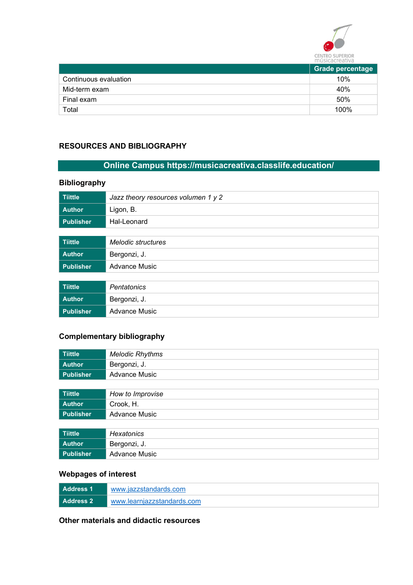

|                       | <b>Grade percentage</b> |
|-----------------------|-------------------------|
| Continuous evaluation | 10%                     |
| Mid-term exam         | 40%                     |
| Final exam            | 50%                     |
| Total                 | 100%                    |

## RESOURCES AND BIBLIOGRAPHY

## Online Campus https://musicacreativa.classlife.education/

## Bibliography

| <b>Tiittle</b>   | Jazz theory resources volumen 1 y 2 |
|------------------|-------------------------------------|
| <b>Author</b>    | Ligon, B.                           |
| <b>Publisher</b> | Hal-Leonard                         |
|                  |                                     |
| <b>Tiittle</b>   | Melodic structures                  |
| <b>Author</b>    | Bergonzi, J.                        |
| <b>Publisher</b> | <b>Advance Music</b>                |
|                  |                                     |
| <b>Tiittle</b>   | Pentatonics                         |
| <b>Author</b>    | Bergonzi, J.                        |
| <b>Publisher</b> | <b>Advance Music</b>                |

## Complementary bibliography

| <b>Tiittle</b>   | <b>Melodic Rhythms</b> |  |
|------------------|------------------------|--|
| <b>Author</b>    | Bergonzi, J.           |  |
| <b>Publisher</b> | <b>Advance Music</b>   |  |
|                  |                        |  |
| <b>Tiittle</b>   | How to Improvise       |  |
| <b>Author</b>    | Crook, H.              |  |
| <b>Publisher</b> | <b>Advance Music</b>   |  |
|                  |                        |  |
| <b>Tiittle</b>   | <b>Hexatonics</b>      |  |
| <b>Author</b>    | Bergonzi, J.           |  |
| <b>Publisher</b> | <b>Advance Music</b>   |  |

## Webpages of interest

| Address 1 | www.iazzstandards.com      |  |
|-----------|----------------------------|--|
| Address 2 | www.learniazzstandards.com |  |

Other materials and didactic resources